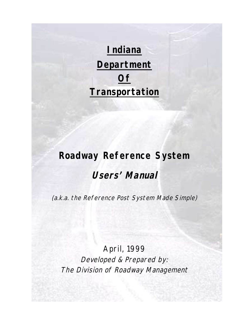**Indiana Department Of Transportation**

# **Roadway Reference System**

# **Users' Manual**

(a.k.a. the Reference Post System Made Simple)

April, 1999 Developed & Prepared by: The Division of Roadway Management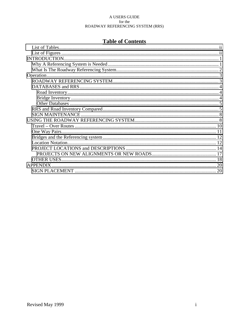# **Table of Contents**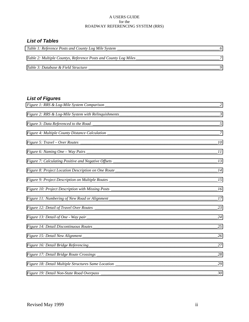# <span id="page-2-0"></span>*List of Tables*

| Table 1: Reference Posts and County Log Mile System             |  |
|-----------------------------------------------------------------|--|
| Table 2: Multiple Countys, Reference Posts and County Log Miles |  |
| Table 3: Database & Field Structure                             |  |

# *List of Figures*

| 25 |
|----|
| 26 |
| 27 |
| 28 |
| 29 |
| 30 |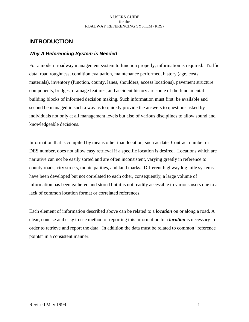# <span id="page-3-0"></span>**INTRODUCTION**

# *Why A Referencing System is Needed*

For a modern roadway management system to function properly, information is required. Traffic data, road roughness, condition evaluation, maintenance performed, history (age, costs, materials), inventory (function, county, lanes, shoulders, access locations), pavement structure components, bridges, drainage features, and accident history are some of the fundamental building blocks of informed decision making. Such information must first: be available and second be managed in such a way as to quickly provide the answers to questions asked by individuals not only at all management levels but also of various disciplines to allow sound and knowledgeable decisions.

Information that is compiled by means other than location, such as date, Contract number or DES number, does not allow easy retrieval if a specific location is desired. Locations which are narrative can not be easily sorted and are often inconsistent, varying greatly in reference to county roads, city streets, municipalities, and land marks. Different highway log mile systems have been developed but not correlated to each other, consequently, a large volume of information has been gathered and stored but it is not readily accessible to various users due to a lack of common location format or correlated references.

Each element of information described above can be related to a *location* on or along a road. A clear, concise and easy to use method of reporting this information to a *location* is necessary in order to retrieve and report the data. In addition the data must be related to common "reference points" in a consistent manner.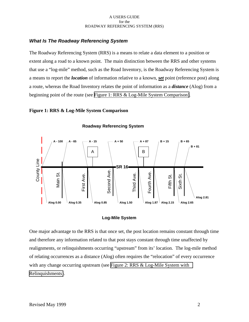# <span id="page-4-0"></span>*What Is The Roadway Referencing System*

The Roadway Referencing System (RRS) is a means to relate a data element to a position or extent along a road to a known point. The main distinction between the RRS and other systems that use a "log-mile" method, such as the Road Inventory, is the Roadway Referencing System is a means to report the *location* of information relative to a known, *set* point (reference post) along a route, whereas the Road Inventory relates the point of information as a *distance* (Alog) from a beginning point of the route (see Figure 1: RRS & Log-Mile System Comparison).

# **Figure 1: RRS & Log-Mile System Comparison**



**Roadway Referencing System**

### **Log-Mile System**

One major advantage to the RRS is that once set, the post location remains constant through time and therefore any information related to that post stays constant through time unaffected by realignments, or relinquishments occurring "upstream" from its' location. The log-mile method of relating occurrences as a distance (Alog) often requires the "relocation" of every occurrence with any change occurring upstream (see [Figure 2: RRS & Log-Mile System with](#page-5-0) [Relinquishments\)](#page-5-0).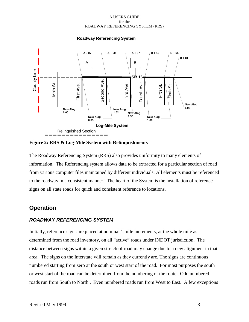<span id="page-5-0"></span>

**Roadway Referencing System**

**Figure 2: RRS & Log-Mile System with Relinquishments**

The Roadway Referencing System (RRS) also provides uniformity to many elements of information. The Referencing system allows data to be extracted for a particular section of road from various computer files maintained by different individuals. All elements must be referenced to the roadway in a consistent manner. The heart of the System is the installation of reference signs on all state roads for quick and consistent reference to locations.

# **Operation**

# *ROADWAY REFERENCING SYSTEM*

Initially, reference signs are placed at nominal 1 mile increments, at the whole mile as determined from the road inventory, on all "active" roads under INDOT jurisdiction. The distance between signs within a given stretch of road may change due to a new alignment in that area. The signs on the Interstate will remain as they currently are. The signs are continuous numbered starting from zero at the south or west start of the road. For most purposes the south or west start of the road can be determined from the numbering of the route. Odd numbered roads run from South to North . Even numbered roads run from West to East. A few exceptions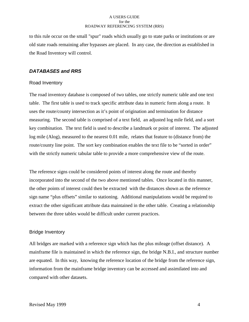<span id="page-6-0"></span>to this rule occur on the small "spur" roads which usually go to state parks or institutions or are old state roads remaining after bypasses are placed. In any case, the direction as established in the Road Inventory will control.

# *DATABASES and RRS*

### Road Inventory

The road inventory database is composed of two tables, one strictly numeric table and one text table. The first table is used to track specific attribute data in numeric form along a route. It uses the route/county intersection as it's point of origination and termination for distance measuring. The second table is comprised of a text field, an adjusted log mile field, and a sort key combination. The text field is used to describe a landmark or point of interest. The adjusted log mile (Alog), measured to the nearest 0.01 mile, relates that feature to (distance from) the route/county line point. The sort key combination enables the text file to be "sorted in order" with the strictly numeric tabular table to provide a more comprehensive view of the route.

The reference signs could be considered points of interest along the route and thereby incorporated into the second of the two above mentioned tables. Once located in this manner, the other points of interest could then be extracted with the distances shown as the reference sign name "plus offsets" similar to stationing. Additional manipulations would be required to extract the other significant attribute data maintained in the other table. Creating a relationship between the three tables would be difficult under current practices.

# Bridge Inventory

All bridges are marked with a reference sign which has the plus mileage (offset distance). A mainframe file is maintained in which the reference sign, the bridge N.B.I., and structure number are equated. In this way, knowing the reference location of the bridge from the reference sign, information from the mainframe bridge inventory can be accessed and assimilated into and compared with other datasets.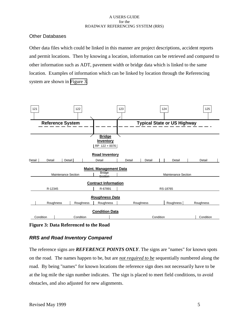# <span id="page-7-0"></span>Other Databases

Other data files which could be linked in this manner are project descriptions, accident reports and permit locations. Then by knowing a location, information can be retrieved and compared to other information such as ADT, pavement width or bridge data which is linked to the same location. Examples of information which can be linked by location through the Referencing system are shown in Figure 3.



**Figure 3: Data Referenced to the Road**

# *RRS and Road Inventory Compared*

The reference signs are *REFERENCE POINTS ONLY*. The signs are "names" for known spots on the road. The names happen to be, but are *not required to be* sequentially numbered along the road. By being "names" for known locations the reference sign does not necessarily have to be at the log mile the sign number indicates. The sign is placed to meet field conditions, to avoid obstacles, and also adjusted for new alignments.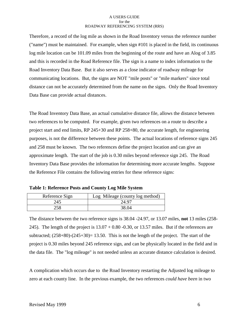<span id="page-8-0"></span>Therefore, a record of the log mile as shown in the Road Inventory versus the reference number ("name") must be maintained. For example, when sign #101 is placed in the field, its continuous log mile location can be 101.09 miles from the beginning of the route and have an Alog of 3.85 and this is recorded in the Road Reference file. The sign is a name to index information to the Road Inventory Data Base. But it also serves as a close indicator of roadway mileage for communicating locations. But, the signs are NOT "mile posts" or "mile markers" since total distance can not be accurately determined from the name on the signs. Only the Road Inventory Data Base can provide actual distances.

The Road Inventory Data Base, an actual cumulative distance file, allows the distance between two references to be computed. For example, given two references on a route to describe a project start and end limits, RP 245+30 and RP 258+80, the accurate length, for engineering purposes, is not the difference between these points. The actual locations of reference signs 245 and 258 must be known. The two references define the project location and can give an approximate length. The start of the job is 0.30 miles beyond reference sign 245. The Road Inventory Data Base provides the information for determining more accurate lengths. Suppose the Reference File contains the following entries for these reference signs:

| Reference Sign | Log Mileage (county log method) |
|----------------|---------------------------------|
| 245            | 24.97                           |
|                | 38.04                           |

| <b>Table 1: Reference Posts and County Log Mile System</b> |  |  |  |
|------------------------------------------------------------|--|--|--|
|------------------------------------------------------------|--|--|--|

The distance between the two reference signs is 38.04 -24.97, or 13.07 miles, **not** 13 miles (258- 245). The length of the project is  $13.07 + 0.80 -0.30$ , or 13.57 miles. But if the references are subtracted;  $(258+80)-(245+30)=13.50$ . This is not the length of the project. The start of the project is 0.30 miles beyond 245 reference sign, and can be physically located in the field and in the data file. The "log mileage" is not needed unless an accurate distance calculation is desired.

A complication which occurs due to the Road Inventory restarting the Adjusted log mileage to zero at each county line. In the previous example, the two references *could have been* in two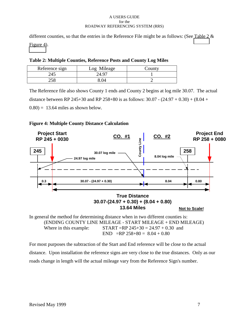<span id="page-9-0"></span>different counties, so that the entries in the Reference File might be as follows: (See Table 2  $\&$ Figure 4).

|  | Table 2: Multiple Counties, Reference Posts and County Log Miles |  |
|--|------------------------------------------------------------------|--|
|  |                                                                  |  |

| Reference sign | Log Mileage | $\sim$ ounty |
|----------------|-------------|--------------|
| 245            | 24.97       |              |
|                |             |              |

The Reference file also shows County 1 ends and County 2 begins at log mile 30.07. The actual distance between RP 245+30 and RP 258+80 is as follows:  $30.07 - (24.97 + 0.30) + (8.04 +$  $(0.80) = 13.64$  miles as shown below.

# **Figure 4: Multiple County Distance Calculation**



In general the method for determining distance when in two different counties is: (ENDING COUNTY LINE MILEAGE - START MILEAGE + END MILEAGE) Where in this example:  $START = RP\ 245+30 = 24.97 + 0.30$  and END =RP  $258+80 = 8.04 + 0.80$ 

For most purposes the subtraction of the Start and End reference will be close to the actual distance. Upon installation the reference signs are very close to the true distances. Only as our roads change in length will the actual mileage vary from the Reference Sign's number.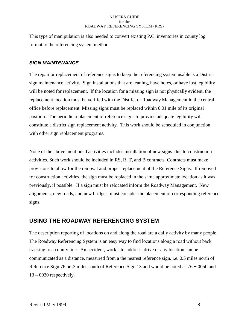<span id="page-10-0"></span>This type of manipulation is also needed to convert existing P.C. inventories in county log format to the referencing system method.

# *SIGN MAINTENANCE*

The repair or replacement of reference signs to keep the referencing system usable is a District sign maintenance activity. Sign installations that are leaning, have holes, or have lost legibility will be noted for replacement. If the location for a missing sign is not physically evident, the replacement location must be verified with the District or Roadway Management in the central office before replacement. Missing signs must be replaced within 0.01 mile of its original position. The periodic replacement of reference signs to provide adequate legibility will constitute a district sign replacement activity. This work should be scheduled in conjunction with other sign replacement programs.

None of the above mentioned activities includes installation of new signs due to construction activities. Such work should be included in RS, R, T, and B contracts. Contracts must make provisions to allow for the removal and proper replacement of the Reference Signs. If removed for construction activities, the sign must be replaced in the same approximate location as it was previously, if possible. If a sign must be relocated inform the Roadway Management. New alignments, new roads, and new bridges, must consider the placement of corresponding reference signs.

# **USING THE ROADWAY REFERENCING SYSTEM**

The description reporting of locations on and along the road are a daily activity by many people. The Roadway Referencing System is an easy way to find locations along a road without back tracking to a county line. An accident, work site, address, drive or any location can be communicated as a distance, measured from a the nearest reference sign, i.e. 0.5 miles north of Reference Sign 76 or .3 miles south of Reference Sign 13 and would be noted as 76 + 0050 and  $13 - 0030$  respectively.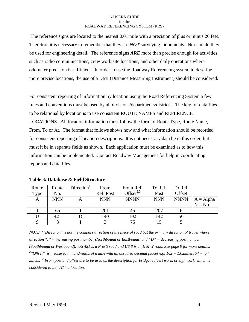<span id="page-11-0"></span> The reference signs are located to the nearest 0.01 mile with a precision of plus or minus 26 feet. Therefore it is necessary to remember that they are *NOT* surveying monuments. Nor should they be used for engineering detail. The reference signs *ARE* more than precise enough for activities such as radio communications, crew work site locations, and other daily operations where odometer precision is sufficient. In order to use the Roadway Referencing system to describe more precise locations, the use of a DMI (Distance Measuring Instrument) should be considered.

For consistent reporting of information by location using the Road Referencing System a few rules and conventions must be used by all divisions/departments/districts. The key for data files to be relational by location is to use consistent ROUTE NAMES and REFERENCE LOCATIONS. All location information must follow the form of Route Type, Route Name, From, To or At. The format that follows shows how and what information should be recorded for consistent reporting of location descriptions. It is not necessary data be in this order, but must it be in separate fields as shown. Each application must be examined as to how this information can be implemented. Contact Roadway Management for help in coordinating reports and data files.

| Route | Route      | Direction <sup>1</sup> | From       | From Ref.       | To Ref.    | To Ref.     |             |
|-------|------------|------------------------|------------|-----------------|------------|-------------|-------------|
| Type  | No.        |                        | Ref. Post  | Offset $^{2,3}$ | Post       | Offset      |             |
| A     | <b>NNN</b> | Α                      | <b>NNN</b> | <b>NNNN</b>     | <b>NNN</b> | <b>NNNN</b> | $A = Alpha$ |
|       |            |                        |            |                 |            |             | $N = No$ .  |
|       | 65         |                        | 201        | 45              | 207        |             |             |
|       | 421        |                        | 140        | 102             | 142        | 56          |             |
|       |            |                        |            |                 |            |             |             |

**Table 3: Database & Field Structure**

*NOTE: <sup>1</sup> "Direction" is not the compass direction of the piece of road but the primary direction of travel where direction "I" = increasing post number (Northbound or Eastbound) and "D" = decreasing post number (Southbound or Westbound). US 421 is a N & S road and US 8 is an E & W road. See page 9 for more details. 2 "Offset" is measured in hundredths of a mile with an assumed decimal place( e.g. 102 = 1.02miles, 54 = .54 miles). <sup>3</sup> From post and offset are to be used as the description for bridge, culvert work, or sign work, which is considered to be "AT" a location.*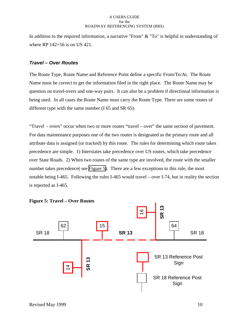<span id="page-12-0"></span>In addition to the required information, a narrative "From" & "To" is helpful in understanding of where RP 142+56 is on US 421.

# *Travel – Over Routes*

The Route Type, Route Name and Reference Point define a specific From/To/At. The Route Name must be correct to get the information filed in the right place. The Route Name may be question on travel-overs and one-way pairs. It can also be a problem if directional information is being used. In all cases the Route Name must carry the Route Type. There are some routes of different type with the same number (I 65 and SR 65).

"Travel - overs" occur when two or more routes "travel – over" the same section of pavement. For data maintenance purposes one of the two routes is designated as the primary route and all attribute data is assigned (or tracked) by this route. The rules for determining which route takes precedence are simple. 1) Interstates take precedence over US routes, which take precedence over State Roads. 2) When two routes of the same type are involved, the route with the smaller number takes precedence( see Figure 5). There are a few exceptions to this rule, the most notable being I-465. Following the rules I-465 would travel – over I-74, but in reality the section is reported as I-465.

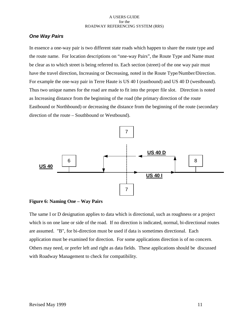# <span id="page-13-0"></span>*One Way Pairs*

In essence a one-way pair is two different state roads which happen to share the route type and the route name. For location descriptions on "one-way Pairs", the Route Type and Name must be clear as to which street is being referred to. Each section (street) of the one way pair must have the travel direction, Increasing or Decreasing, noted in the Route Type/Number/Direction. For example the one-way pair in Terre Haute is US 40 I (eastbound) and US 40 D (westbound). Thus two unique names for the road are made to fit into the proper file slot. Direction is noted as Increasing distance from the beginning of the road (the primary direction of the route Eastbound or Northbound) or decreasing the distance from the beginning of the route (secondary direction of the route – Southbound or Westbound).





The same I or D designation applies to data which is directional, such as roughness or a project which is on one lane or side of the road. If no direction is indicated, normal, bi-directional routes are assumed. "B", for bi-direction must be used if data is sometimes directional. Each application must be examined for direction. For some applications direction is of no concern. Others may need, or prefer left and right as data fields. These applications should be discussed with Roadway Management to check for compatibility.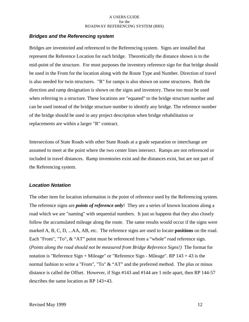# <span id="page-14-0"></span>*Bridges and the Referencing system*

Bridges are inventoried and referenced to the Referencing system. Signs are installed that represent the Reference Location for each bridge. Theoretically the distance shown is to the mid-point of the structure. For most purposes the inventory reference sign for that bridge should be used in the From for the location along with the Route Type and Number. Direction of travel is also needed for twin structures. "R" for ramps is also shown on some structures. Both the direction and ramp designation is shown on the signs and inventory. These too must be used when referring to a structure. These locations are "equated" to the bridge structure number and can be used instead of the bridge structure number to identify any bridge. The reference number of the bridge should be used in any project description when bridge rehabilitation or replacements are within a larger "R" contract.

Intersections of State Roads with other State Roads at a grade separation or interchange are assumed to meet at the point where the two center lines intersect. Ramps are not referenced or included in travel distances. Ramp inventories exist and the distances exist, but are not part of the Referencing system.

# *Location Notation*

The other item for location information is the point of reference used by the Referencing system. The reference signs are *points of reference only*! They are a series of known locations along a road which we are "naming" with sequential numbers. It just so happens that they also closely follow the accumulated mileage along the route. The same results would occur if the signs were marked A, B, C, D, ...AA, AB, etc. The reference signs are used to locate **positions** on the road. Each "From", "To", & "AT" point must be referenced from a "whole" road reference sign. (*Points along the road should not be measured from Bridge Reference Signs!)* The format for notation is "Reference Sign + Mileage" or "Reference Sign - Mileage". RP 143 + 43 is the normal fashion to write a "From", "To" & "AT" and the preferred method. The plus or minus distance is called the Offset. However, if Sign #143 and #144 are 1 mile apart, then RP 144-57 describes the same location as RP 143+43.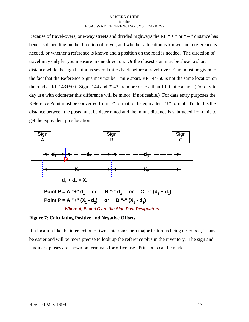<span id="page-15-0"></span>Because of travel-overs, one-way streets and divided highways the RP " $+$ " or " $-$ " distance has benefits depending on the direction of travel, and whether a location is known and a reference is needed, or whether a reference is known and a position on the road is needed. The direction of travel may only let you measure in one direction. Or the closest sign may be ahead a short distance while the sign behind is several miles back before a travel-over. Care must be given to the fact that the Reference Signs may not be 1 mile apart. RP 144-50 is not the same location on the road as RP 143+50 if Sign #144 and #143 are more or less than 1.00 mile apart. (For day-today use with odometer this difference will be minor, if noticeable.) For data entry purposes the Reference Point must be converted from "-" format to the equivalent "+" format. To do this the distance between the posts must be determined and the minus distance is subtracted from this to get the equivalent plus location.



*Where A, B, and C are the Sign Post Designators*

# **Figure 7: Calculating Positive and Negative Offsets**

If a location like the intersection of two state roads or a major feature is being described, it may be easier and will be more precise to look up the reference plus in the inventory. The sign and landmark pluses are shown on terminals for office use. Print-outs can be made.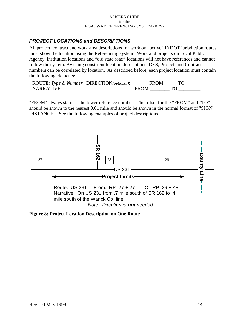# <span id="page-16-0"></span>*PROJECT LOCATIONS and DESCRIPTIONS*

All project, contract and work area descriptions for work on "active" INDOT jurisdiction routes must show the location using the Referencing system. Work and projects on Local Public Agency, institution locations and "old state road" locations will not have references and cannot follow the system. By using consistent location descriptions, DES, Project, and Contract numbers can be correlated by location. As described before, each project location must contain the following elements:

| ROUTE: Type & Number DIRECTION(optional): | FROM: TO: |  |
|-------------------------------------------|-----------|--|
| NARRATIVE:                                | FROM:     |  |

"FROM" always starts at the lower reference number. The offset for the "FROM" and "TO" should be shown to the nearest 0.01 mile and should be shown in the normal format of "SIGN + DISTANCE". See the following examples of project descriptions.



**Figure 8: Project Location Description on One Route**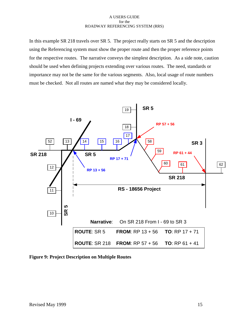<span id="page-17-0"></span>In this example SR 218 travels over SR 5. The project really starts on SR 5 and the description using the Referencing system must show the proper route and then the proper reference points for the respective routes. The narrative conveys the simplest description. As a side note, caution should be used when defining projects extending over various routes. The need, standards or importance may not be the same for the various segments. Also, local usage of route numbers must be checked. Not all routes are named what they may be considered locally.



**Figure 9: Project Description on Multiple Routes**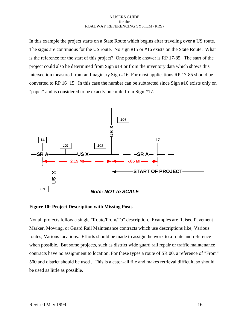<span id="page-18-0"></span>In this example the project starts on a State Route which begins after traveling over a US route. The signs are continuous for the US route. No sign #15 or #16 exists on the State Route. What is the reference for the start of this project? One possible answer is RP 17-85. The start of the project could also be determined from Sign #14 or from the inventory data which shows this intersection measured from an Imaginary Sign #16. For most applications RP 17-85 should be converted to RP 16+15. In this case the number can be subtracted since Sign #16 exists only on "paper" and is considered to be exactly one mile from Sign #17.



**Figure 10: Project Description with Missing Posts**

Not all projects follow a single "Route/From/To" description. Examples are Raised Pavement Marker, Mowing, or Guard Rail Maintenance contracts which use descriptions like; Various routes, Various locations. Efforts should be made to assign the work to a route and reference when possible. But some projects, such as district wide guard rail repair or traffic maintenance contracts have no assignment to location. For these types a route of SR 00, a reference of "From" 500 and district should be used . This is a catch-all file and makes retrieval difficult, so should be used as little as possible.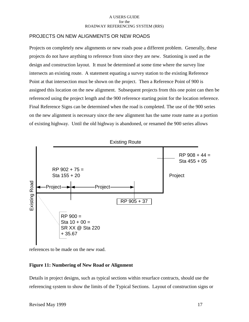# <span id="page-19-0"></span>PROJECTS ON NEW ALIGNMENTS OR NEW ROADS

Projects on completely new alignments or new roads pose a different problem. Generally, these projects do not have anything to reference from since they are new. Stationing is used as the design and construction layout. It must be determined at some time where the survey line intersects an existing route. A statement equating a survey station to the existing Reference Point at that intersection must be shown on the project. Then a Reference Point of 900 is assigned this location on the new alignment. Subsequent projects from this one point can then be referenced using the project length and the 900 reference starting point for the location reference. Final Reference Signs can be determined when the road is completed. The use of the 900 series on the new alignment is necessary since the new alignment has the same route name as a portion of existing highway. Until the old highway is abandoned, or renamed the 900 series allows



references to be made on the new road.

# **Figure 11: Numbering of New Road or Alignment**

Details in project designs, such as typical sections within resurface contracts, should use the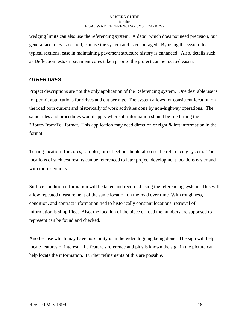<span id="page-20-0"></span>wedging limits can also use the referencing system. A detail which does not need precision, but general accuracy is desired, can use the system and is encouraged. By using the system for typical sections, ease in maintaining pavement structure history is enhanced. Also, details such as Deflection tests or pavement cores taken prior to the project can be located easier.

# *OTHER USES*

Project descriptions are not the only application of the Referencing system. One desirable use is for permit applications for drives and cut permits. The system allows for consistent location on the road both current and historically of work activities done by non-highway operations. The same rules and procedures would apply where all information should be filed using the "Route/From/To" format. This application may need direction or right & left information in the format.

Testing locations for cores, samples, or deflection should also use the referencing system. The locations of such test results can be referenced to later project development locations easier and with more certainty.

Surface condition information will be taken and recorded using the referencing system. This will allow repeated measurement of the same location on the road over time. With roughness, condition, and contract information tied to historically constant locations, retrieval of information is simplified. Also, the location of the piece of road the numbers are supposed to represent can be found and checked.

Another use which may have possibility is in the video logging being done. The sign will help locate features of interest. If a feature's reference and plus is known the sign in the picture can help locate the information. Further refinements of this are possible.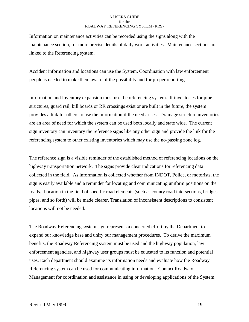Information on maintenance activities can be recorded using the signs along with the maintenance section, for more precise details of daily work activities. Maintenance sections are linked to the Referencing system.

Accident information and locations can use the System. Coordination with law enforcement people is needed to make them aware of the possibility and for proper reporting.

Information and Inventory expansion must use the referencing system. If inventories for pipe structures, guard rail, bill boards or RR crossings exist or are built in the future, the system provides a link for others to use the information if the need arises. Drainage structure inventories are an area of need for which the system can be used both locally and state wide. The current sign inventory can inventory the reference signs like any other sign and provide the link for the referencing system to other existing inventories which may use the no-passing zone log.

The reference sign is a visible reminder of the established method of referencing locations on the highway transportation network. The signs provide clear indications for referencing data collected in the field. As information is collected whether from INDOT, Police, or motorists, the sign is easily available and a reminder for locating and communicating uniform positions on the roads. Location in the field of specific road elements (such as county road intersections, bridges, pipes, and so forth) will be made clearer. Translation of inconsistent descriptions to consistent locations will not be needed.

The Roadway Referencing system sign represents a concerted effort by the Department to expand our knowledge base and unify our management procedures. To derive the maximum benefits, the Roadway Referencing system must be used and the highway population, law enforcement agencies, and highway user groups must be educated to its function and potential uses. Each department should examine its information needs and evaluate how the Roadway Referencing system can be used for communicating information. Contact Roadway Management for coordination and assistance in using or developing applications of the System.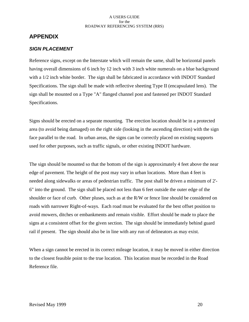# <span id="page-22-0"></span>**APPENDIX**

# *SIGN PLACEMENT*

Reference signs, except on the Interstate which will remain the same, shall be horizontal panels having overall dimensions of 6 inch by 12 inch with 3 inch white numerals on a blue background with a  $1/2$  inch white border. The sign shall be fabricated in accordance with INDOT Standard Specifications. The sign shall be made with reflective sheeting Type II (encapsulated lens). The sign shall be mounted on a Type "A" flanged channel post and fastened per INDOT Standard Specifications.

Signs should be erected on a separate mounting. The erection location should be in a protected area (to avoid being damaged) on the right side (looking in the ascending direction) with the sign face parallel to the road. In urban areas, the signs can be correctly placed on existing supports used for other purposes, such as traffic signals, or other existing INDOT hardware.

The sign should be mounted so that the bottom of the sign is approximately 4 feet above the near edge of pavement. The height of the post may vary in urban locations. More than 4 feet is needed along sidewalks or areas of pedestrian traffic. The post shall be driven a minimum of 2'- 6" into the ground. The sign shall be placed not less than 6 feet outside the outer edge of the shoulder or face of curb. Other pluses, such as at the R/W or fence line should be considered on roads with narrower Right-of-ways. Each road must be evaluated for the best offset position to avoid mowers, ditches or embankments and remain visible. Effort should be made to place the signs at a consistent offset for the given section. The sign should be immediately behind guard rail if present. The sign should also be in line with any run of delineators as may exist.

When a sign cannot be erected in its correct mileage location, it may be moved in either direction to the closest feasible point to the true location. This location must be recorded in the Road Reference file.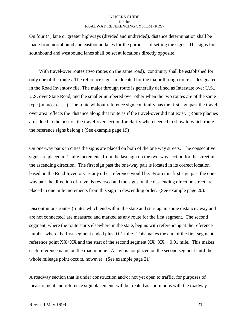On four (4) lane or greater highways (divided and undivided), distance determination shall be made from northbound and eastbound lanes for the purposes of setting the signs. The signs for southbound and westbound lanes shall be set at locations directly opposite.

 With travel-over routes (two routes on the same road), continuity shall be established for only one of the routes. The reference signs are located for the major through route as designated in the Road Inventory file. The major through route is generally defined as Interstate over U.S., U.S. over State Road, and the smaller numbered over other when the two routes are of the same type (in most cases). The route without reference sign continuity has the first sign past the travelover area reflects the distance along that route as if the travel-over did not exist. (Route plaques are added to the post on the travel-over section for clarity when needed to show to which route the reference signs belong.) (See example page 19)

On one-way pairs in cities the signs are placed on both of the one way streets. The consecutive signs are placed in 1 mile increments from the last sign on the two-way section for the street in the ascending direction. The first sign past the one-way pair is located in its correct location based on the Road Inventory as any other reference would be. From this first sign past the oneway pair the direction of travel is reversed and the signs on the descending direction street are placed in one mile increments from this sign in descending order. (See example page 20).

Discontinuous routes (routes which end within the state and start again some distance away and are not connected) are measured and marked as any route for the first segment. The second segment, where the route starts elsewhere in the state, begins with referencing at the reference number where the first segment ended plus 0.01 mile. This makes the end of the first segment reference point  $XX+XX$  and the start of the second segment  $XX+XX + 0.01$  mile. This makes each reference name on the road unique. A sign is not placed on the second segment until the whole mileage point occurs, however. (See example page 21)

A roadway section that is under construction and/or not yet open to traffic, for purposes of measurement and reference sign placement, will be treated as continuous with the roadway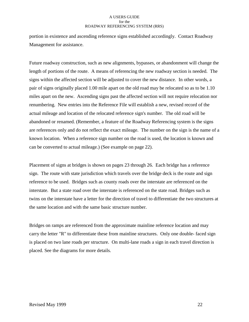portion in existence and ascending reference signs established accordingly. Contact Roadway Management for assistance.

Future roadway construction, such as new alignments, bypasses, or abandonment will change the length of portions of the route. A means of referencing the new roadway section is needed. The signs within the affected section will be adjusted to cover the new distance. In other words, a pair of signs originally placed 1.00 mile apart on the old road may be relocated so as to be 1.10 miles apart on the new. Ascending signs past the affected section will not require relocation nor renumbering. New entries into the Reference File will establish a new, revised record of the actual mileage and location of the relocated reference sign's number. The old road will be abandoned or renamed. (Remember, a feature of the Roadway Referencing system is the signs are references only and do not reflect the exact mileage. The number on the sign is the name of a known location. When a reference sign number on the road is used, the location is known and can be converted to actual mileage.) (See example on page 22).

Placement of signs at bridges is shown on pages 23 through 26. Each bridge has a reference sign. The route with state jurisdiction which travels over the bridge deck is the route and sign reference to be used. Bridges such as county roads over the interstate are referenced on the interstate. But a state road over the interstate is referenced on the state road. Bridges such as twins on the interstate have a letter for the direction of travel to differentiate the two structures at the same location and with the same basic structure number.

Bridges on ramps are referenced from the approximate mainline reference location and may carry the letter "R" to differentiate these from mainline structures. Only one double- faced sign is placed on two lane roads per structure. On multi-lane roads a sign in each travel direction is placed. See the diagrams for more details.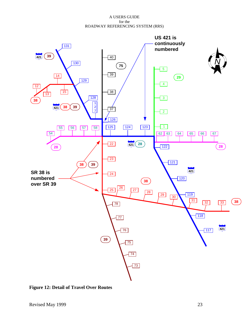<span id="page-25-0"></span>

**Figure 12: Detail of Travel Over Routes**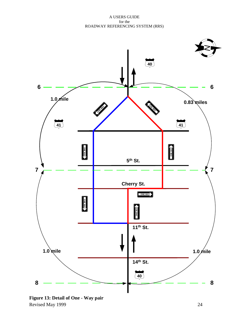<span id="page-26-0"></span>

Revised May 1999 24 **Figure 13: Detail of One - Way pair**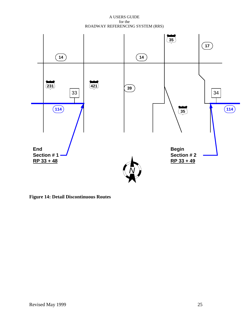<span id="page-27-0"></span>

**Figure 14: Detail Discontinuous Routes**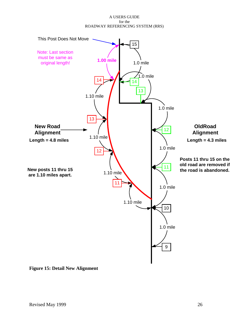<span id="page-28-0"></span>

**Figure 15: Detail New Alignment**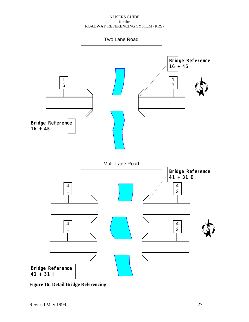<span id="page-29-0"></span>

**Figure 16: Detail Bridge Referencing**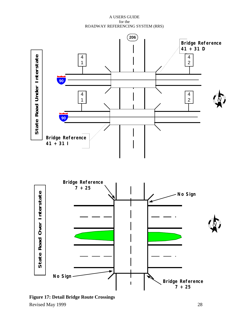<span id="page-30-0"></span>

Revised May 1999 28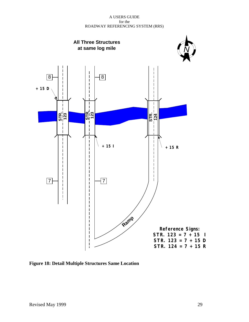<span id="page-31-0"></span>

**Figure 18: Detail Multiple Structures Same Location**